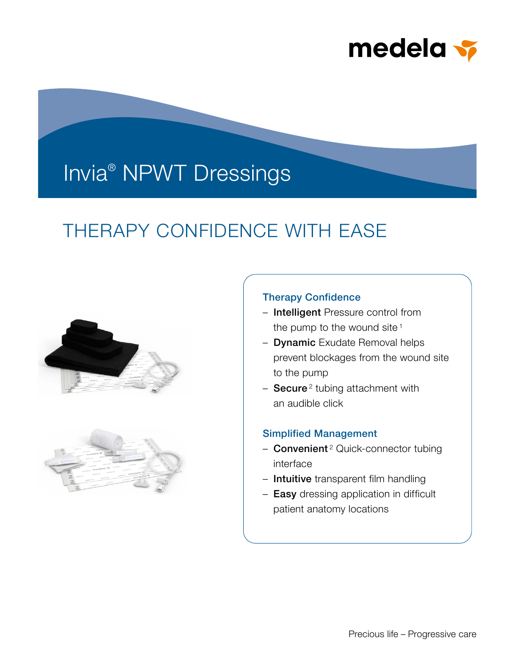

# Invia® NPWT Dressings

## THERAPY CONFIDENCE WITH EASE





## Therapy Confidence

- Intelligent Pressure control from the pump to the wound site<sup> $1$ </sup>
- Dynamic Exudate Removal helps prevent blockages from the wound site to the pump
- $-$  Secure<sup>2</sup> tubing attachment with an audible click

## Simplified Management

- Convenient<sup>2</sup> Quick-connector tubing interface
- Intuitive transparent film handling
- Easy dressing application in difficult patient anatomy locations